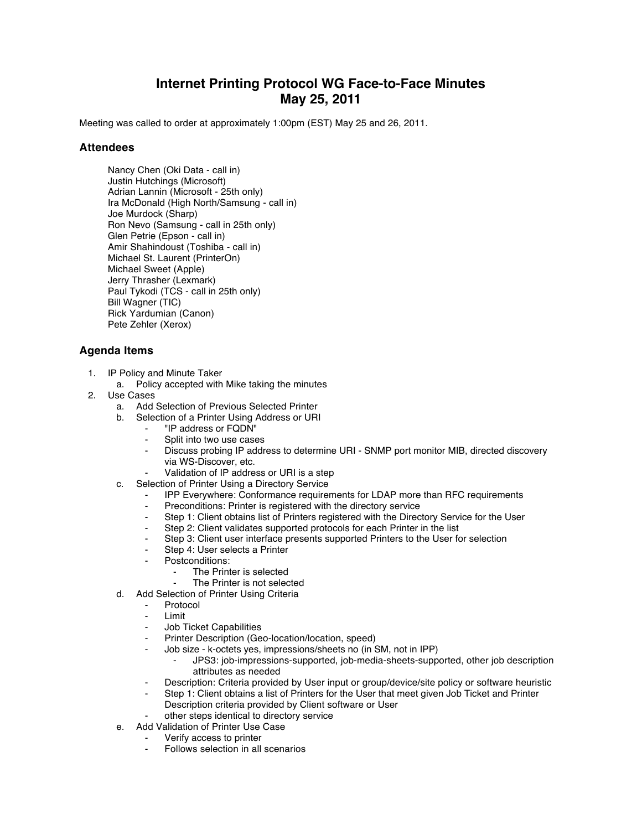## **Internet Printing Protocol WG Face-to-Face Minutes May 25, 2011**

Meeting was called to order at approximately 1:00pm (EST) May 25 and 26, 2011.

## **Attendees**

Nancy Chen (Oki Data - call in) Justin Hutchings (Microsoft) Adrian Lannin (Microsoft - 25th only) Ira McDonald (High North/Samsung - call in) Joe Murdock (Sharp) Ron Nevo (Samsung - call in 25th only) Glen Petrie (Epson - call in) Amir Shahindoust (Toshiba - call in) Michael St. Laurent (PrinterOn) Michael Sweet (Apple) Jerry Thrasher (Lexmark) Paul Tykodi (TCS - call in 25th only) Bill Wagner (TIC) Rick Yardumian (Canon) Pete Zehler (Xerox)

## **Agenda Items**

- 1. IP Policy and Minute Taker
	- a. Policy accepted with Mike taking the minutes
- 2. Use Cases
	- a. Add Selection of Previous Selected Printer
	- b. Selection of a Printer Using Address or URI
		- ⁃ "IP address or FQDN"
		- Split into two use cases
		- Discuss probing IP address to determine URI SNMP port monitor MIB, directed discovery via WS-Discover, etc.
		- Validation of IP address or URI is a step
	- c. Selection of Printer Using a Directory Service
		- IPP Everywhere: Conformance requirements for LDAP more than RFC requirements
		- Preconditions: Printer is registered with the directory service
		- ⁃ Step 1: Client obtains list of Printers registered with the Directory Service for the User
		- ⁃ Step 2: Client validates supported protocols for each Printer in the list
		- Step 3: Client user interface presents supported Printers to the User for selection
		- Step 4: User selects a Printer
		- Postconditions:
			- The Printer is selected
			- The Printer is not selected
	- d. Add Selection of Printer Using Criteria
		- **Protocol**
		- **Limit**
		- ⁃ Job Ticket Capabilities
		- Printer Description (Geo-location/location, speed)
		- Job size k-octets yes, impressions/sheets no (in SM, not in IPP)
			- ⁃ JPS3: job-impressions-supported, job-media-sheets-supported, other job description attributes as needed
		- Description: Criteria provided by User input or group/device/site policy or software heuristic
		- Step 1: Client obtains a list of Printers for the User that meet given Job Ticket and Printer Description criteria provided by Client software or User
		- other steps identical to directory service
	- e. Add Validation of Printer Use Case
		- Verify access to printer
			- Follows selection in all scenarios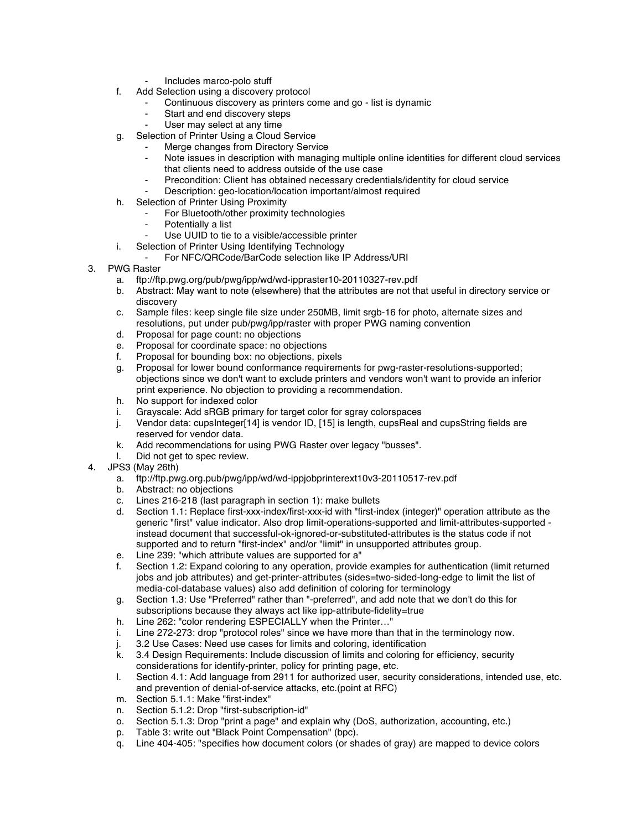- ⁃ Includes marco-polo stuff
- f. Add Selection using a discovery protocol
	- Continuous discovery as printers come and go list is dynamic
	- Start and end discovery steps
	- User may select at any time
- g. Selection of Printer Using a Cloud Service
	- Merge changes from Directory Service
		- Note issues in description with managing multiple online identities for different cloud services that clients need to address outside of the use case
		- Precondition: Client has obtained necessary credentials/identity for cloud service
		- Description: geo-location/location important/almost required
- h. Selection of Printer Using Proximity
	- For Bluetooth/other proximity technologies
	- Potentially a list
	- Use UUID to tie to a visible/accessible printer
- i. Selection of Printer Using Identifying Technology
	- For NFC/QRCode/BarCode selection like IP Address/URI
- 3. PWG Raster
	- a. ftp://ftp.pwg.org/pub/pwg/ipp/wd/wd-ippraster10-20110327-rev.pdf
	- b. Abstract: May want to note (elsewhere) that the attributes are not that useful in directory service or discovery
	- c. Sample files: keep single file size under 250MB, limit srgb-16 for photo, alternate sizes and resolutions, put under pub/pwg/ipp/raster with proper PWG naming convention
	- d. Proposal for page count: no objections
	- e. Proposal for coordinate space: no objections
	- f. Proposal for bounding box: no objections, pixels
	- g. Proposal for lower bound conformance requirements for pwg-raster-resolutions-supported; objections since we don't want to exclude printers and vendors won't want to provide an inferior print experience. No objection to providing a recommendation.
	- h. No support for indexed color
	- i. Grayscale: Add sRGB primary for target color for sgray colorspaces
	- j. Vendor data: cupsInteger[14] is vendor ID, [15] is length, cupsReal and cupsString fields are reserved for vendor data.
	- k. Add recommendations for using PWG Raster over legacy "busses".
	- l. Did not get to spec review.
- 4. JPS3 (May 26th)
	- a. ftp://ftp.pwg.org.pub/pwg/ipp/wd/wd-ippjobprinterext10v3-20110517-rev.pdf
	- b. Abstract: no objections
	- c. Lines 216-218 (last paragraph in section 1): make bullets
	- d. Section 1.1: Replace first-xxx-index/first-xxx-id with "first-index (integer)" operation attribute as the generic "first" value indicator. Also drop limit-operations-supported and limit-attributes-supported instead document that successful-ok-ignored-or-substituted-attributes is the status code if not supported and to return "first-index" and/or "limit" in unsupported attributes group.
	- e. Line 239: "which attribute values are supported for a"
	- f. Section 1.2: Expand coloring to any operation, provide examples for authentication (limit returned jobs and job attributes) and get-printer-attributes (sides=two-sided-long-edge to limit the list of media-col-database values) also add definition of coloring for terminology
	- g. Section 1.3: Use "Preferred" rather than "-preferred", and add note that we don't do this for subscriptions because they always act like ipp-attribute-fidelity=true
	- h. Line 262: "color rendering ESPECIALLY when the Printer…"
	- i. Line 272-273: drop "protocol roles" since we have more than that in the terminology now.
	- j. 3.2 Use Cases: Need use cases for limits and coloring, identification
	- k. 3.4 Design Requirements: Include discussion of limits and coloring for efficiency, security considerations for identify-printer, policy for printing page, etc.
	- l. Section 4.1: Add language from 2911 for authorized user, security considerations, intended use, etc. and prevention of denial-of-service attacks, etc.(point at RFC)
	- m. Section 5.1.1: Make "first-index"
	- n. Section 5.1.2: Drop "first-subscription-id"
	- o. Section 5.1.3: Drop "print a page" and explain why (DoS, authorization, accounting, etc.)
	- p. Table 3: write out "Black Point Compensation" (bpc).
	- q. Line 404-405: "specifies how document colors (or shades of gray) are mapped to device colors